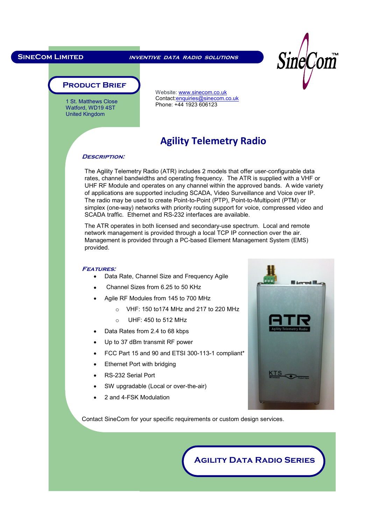l,

**SineCom Limited inventive data radio solutions**



#### **Product Brief**

 1 St. Matthews Close Watford, WD19 4ST United Kingdom

Website: www.sinecom.co.uk Contact:enquiries@sinecom.co.uk Phone: +44 1923 606123

## **Agility Telemetry Radio**

#### **Description:**

The Agility Telemetry Radio (ATR) includes 2 models that offer user-configurable data rates, channel bandwidths and operating frequency. The ATR is supplied with a VHF or UHF RF Module and operates on any channel within the approved bands. A wide variety of applications are supported including SCADA, Video Surveillance and Voice over IP. The radio may be used to create Point-to-Point (PTP), Point-to-Multipoint (PTM) or simplex (one-way) networks with priority routing support for voice, compressed video and SCADA traffic. Ethernet and RS-232 interfaces are available.

The ATR operates in both licensed and secondary-use spectrum. Local and remote network management is provided through a local TCP IP connection over the air. Management is provided through a PC-based Element Management System (EMS) provided.

#### **Features:**

- Data Rate, Channel Size and Frequency Agile
- Channel Sizes from 6.25 to 50 KHz
- Agile RF Modules from 145 to 700 MHz
	- o VHF: 150 to174 MHz and 217 to 220 MHz
	- $\circ$  UHF: 450 to 512 MHz
- Data Rates from 2.4 to 68 kbps
- Up to 37 dBm transmit RF power
- FCC Part 15 and 90 and ETSI 300-113-1 compliant\*
- **Ethernet Port with bridging**
- RS-232 Serial Port
- SW upgradable (Local or over-the-air)
- 2 and 4-FSK Modulation



Contact SineCom for your specific requirements or custom design services.

**Agility Data Radio Series**